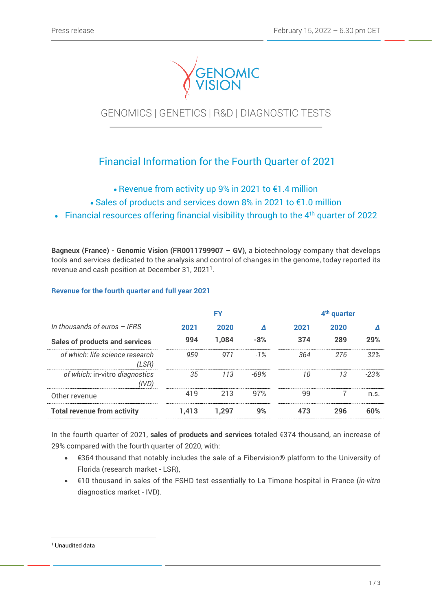

GENOMICS | GENETICS | R&D | DIAGNOSTIC TESTS

# Financial Information for the Fourth Quarter of 2021

- Revenue from activity up 9% in 2021 to €1.4 million
- Sales of products and services down 8% in 2021 to €1.0 million
- Financial resources offering financial visibility through to the  $4<sup>th</sup>$  quarter of 2022

**Bagneux (France) - Genomic Vision (FR0011799907 – GV)**, a biotechnology company that develops tools and services dedicated to the analysis and control of changes in the genome, today reported its revenue and cash position at December 31, 2021<sup>1</sup>.

## **Revenue for the fourth quarter and full year 2021**

|                                          | F۷    |       |        | 4 <sup>th</sup> quarter |      |        |
|------------------------------------------|-------|-------|--------|-------------------------|------|--------|
| In thousands of euros $-$ IFRS           | 2021  | 2020  |        | 2021                    | 2020 |        |
| <b>Sales of products and services</b>    | 994   | 1.084 | $-8%$  | 374                     | 289  | 29%    |
| of which: life science research<br>(LSR) | 959   | 971   | $-1\%$ | 364.                    | 276  | .32%   |
| of which: in-vitro diagnostics<br>(IVD)  | 35    | 113   | -69%   | 10                      | 13   | $-23%$ |
| Other revenue                            | 419   | 213   | 97%    | 99                      |      | n.s.   |
| <b>Total revenue from activity</b>       | 1.413 | 1.297 | 9%     | 473                     | 296  | 60%    |

In the fourth quarter of 2021, **sales of products and services** totaled €374 thousand, an increase of 29% compared with the fourth quarter of 2020, with:

- €364 thousand that notably includes the sale of a Fibervision® platform to the University of Florida (research market - LSR),
- €10 thousand in sales of the FSHD test essentially to La Timone hospital in France (*in-vitro* diagnostics market - IVD).

<sup>&</sup>lt;sup>1</sup> Unaudited data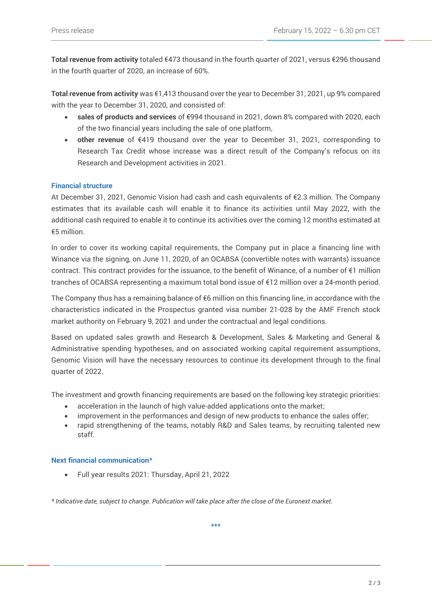**Total revenue from activity** totaled €473 thousand in the fourth quarter of 2021, versus €296 thousand in the fourth quarter of 2020, an increase of 60%.

**Total revenue from activity** was €1,413 thousand over the year to December 31, 2021, up 9% compared with the year to December 31, 2020, and consisted of:

- **sales of products and services** of €994 thousand in 2021, down 8% compared with 2020, each of the two financial years including the sale of one platform,
- **other revenue** of €419 thousand over the year to December 31, 2021, corresponding to Research Tax Credit whose increase was a direct result of the Company's refocus on its Research and Development activities in 2021.

## **Financial structure**

At December 31, 2021, Genomic Vision had cash and cash equivalents of €2.3 million. The Company estimates that its available cash will enable it to finance its activities until May 2022, with the additional cash required to enable it to continue its activities over the coming 12 months estimated at €5 million.

In order to cover its working capital requirements, the Company put in place a financing line with Winance via the signing, on June 11, 2020, of an OCABSA (convertible notes with warrants) issuance contract. This contract provides for the issuance, to the benefit of Winance, of a number of €1 million tranches of OCABSA representing a maximum total bond issue of €12 million over a 24-month period.

The Company thus has a remaining balance of €6 million on this financing line, in accordance with the characteristics indicated in the Prospectus granted visa number 21-028 by the AMF French stock market authority on February 9, 2021 and under the contractual and legal conditions.

Based on updated sales growth and Research & Development, Sales & Marketing and General & Administrative spending hypotheses, and on associated working capital requirement assumptions, Genomic Vision will have the necessary resources to continue its development through to the final quarter of 2022.

The investment and growth financing requirements are based on the following key strategic priorities:

- acceleration in the launch of high value-added applications onto the market;
- improvement in the performances and design of new products to enhance the sales offer;
- rapid strengthening of the teams, notably R&D and Sales teams, by recruiting talented new staff.

#### **Next financial communication\***

• Full year results 2021: Thursday, April 21, 2022

*\* Indicative date, subject to change. Publication will take place after the close of the Euronext market.*